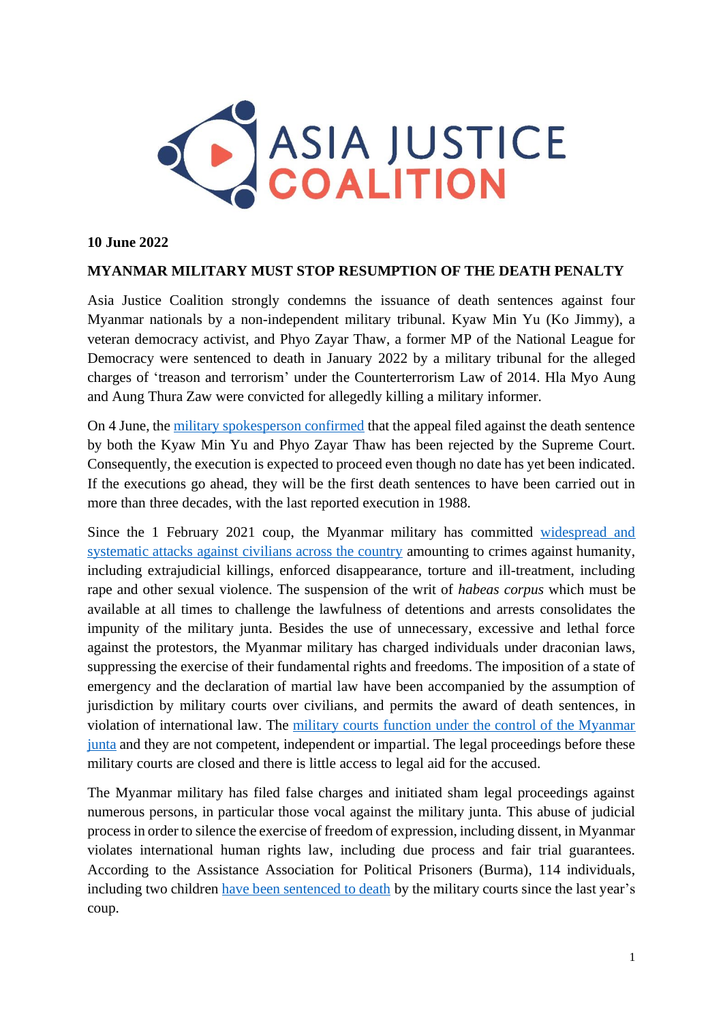

## **10 June 2022**

## **MYANMAR MILITARY MUST STOP RESUMPTION OF THE DEATH PENALTY**

Asia Justice Coalition strongly condemns the issuance of death sentences against four Myanmar nationals by a non-independent military tribunal. Kyaw Min Yu (Ko Jimmy), a veteran democracy activist, and Phyo Zayar Thaw, a former MP of the National League for Democracy were sentenced to death in January 2022 by a military tribunal for the alleged charges of 'treason and terrorism' under the Counterterrorism Law of 2014. Hla Myo Aung and Aung Thura Zaw were convicted for allegedly killing a military informer.

On 4 June, the [military spokesperson confirmed](https://www.aljazeera.com/news/2022/6/3/myanmar-military-says-activist-lawmaker-to-face-death-sentence) that the appeal filed against the death sentence by both the Kyaw Min Yu and Phyo Zayar Thaw has been rejected by the Supreme Court. Consequently, the execution is expected to proceed even though no date has yet been indicated. If the executions go ahead, they will be the first death sentences to have been carried out in more than three decades, with the last reported execution in 1988.

Since the 1 February 2021 coup, the Myanmar military has committed [widespread and](https://www.asiajusticecoalition.org/_files/ugd/811bc6_b801d7d42d2845e3acdf55ff58e69294.pdf?index=true)  systematic attacks against [civilians across the country](https://www.asiajusticecoalition.org/_files/ugd/811bc6_b801d7d42d2845e3acdf55ff58e69294.pdf?index=true) amounting to crimes against humanity, including extrajudicial killings, enforced disappearance, torture and ill-treatment, including rape and other sexual violence. The suspension of the writ of *habeas corpus* which must be available at all times to challenge the lawfulness of detentions and arrests consolidates the impunity of the military junta. Besides the use of unnecessary, excessive and lethal force against the protestors, the Myanmar military has charged individuals under draconian laws, suppressing the exercise of their fundamental rights and freedoms. The imposition of a state of emergency and the declaration of martial law have been accompanied by the assumption of jurisdiction by military courts over civilians, and permits the award of death sentences, in violation of international law. The [military courts function under the control of the Myanmar](https://www.icj.org/myanmar-a-year-after-military-takeover-no-rule-of-law-or-judicial-independence/)  [junta](https://www.icj.org/myanmar-a-year-after-military-takeover-no-rule-of-law-or-judicial-independence/) and they are not competent, independent or impartial. The legal proceedings before these military courts are closed and there is little access to legal aid for the accused.

The Myanmar military has filed false charges and initiated sham legal proceedings against numerous persons, in particular those vocal against the military junta. This abuse of judicial process in order to silence the exercise of freedom of expression, including dissent, in Myanmar violates international human rights law, including due process and fair trial guarantees. According to the Assistance Association for Political Prisoners (Burma), 114 individuals, including two children [have been sentenced to death](https://aappb.org/?p=21733) by the military courts since the last year's coup.